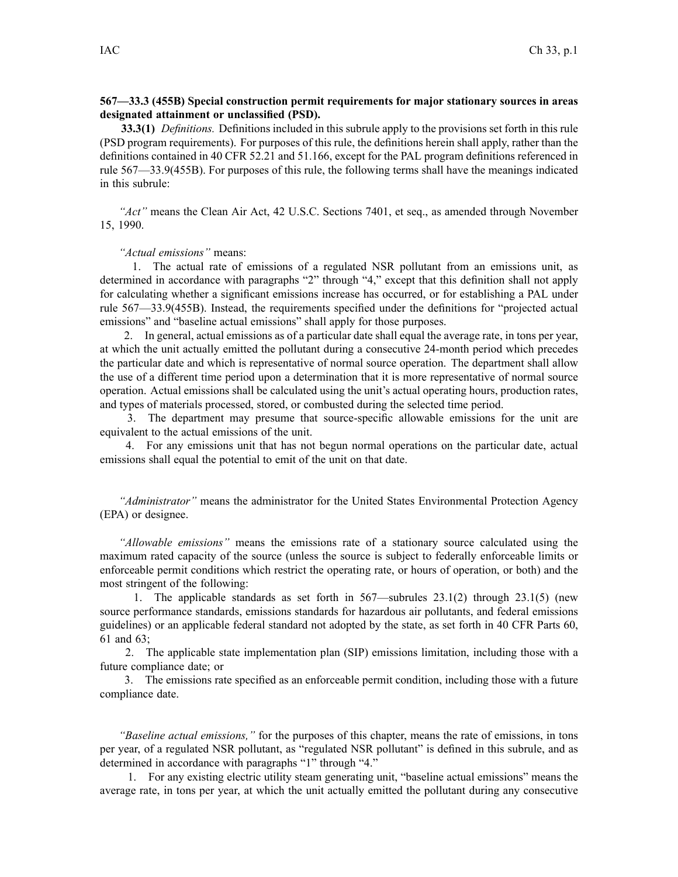# **567—33.3 (455B) Special construction permit requirements for major stationary sources in areas designated attainment or unclassified (PSD).**

**33.3(1)** *Definitions.* Definitions included in this subrule apply to the provisions set forth in this rule (PSD program requirements). For purposes of this rule, the definitions herein shall apply, rather than the definitions contained in 40 CFR 52.21 and 51.166, excep<sup>t</sup> for the PAL program definitions referenced in rule 567—33.9(455B). For purposes of this rule, the following terms shall have the meanings indicated in this subrule:

*"Act"* means the Clean Air Act, 42 U.S.C. Sections 7401, et seq., as amended through November 15, 1990.

*"Actual emissions"* means:

1. The actual rate of emissions of <sup>a</sup> regulated NSR pollutant from an emissions unit, as determined in accordance with paragraphs "2" through "4," excep<sup>t</sup> that this definition shall not apply for calculating whether <sup>a</sup> significant emissions increase has occurred, or for establishing <sup>a</sup> PAL under rule 567—33.9(455B). Instead, the requirements specified under the definitions for "projected actual emissions" and "baseline actual emissions" shall apply for those purposes.

2. In general, actual emissions as of <sup>a</sup> particular date shall equal the average rate, in tons per year, at which the unit actually emitted the pollutant during <sup>a</sup> consecutive 24-month period which precedes the particular date and which is representative of normal source operation. The department shall allow the use of <sup>a</sup> different time period upon <sup>a</sup> determination that it is more representative of normal source operation. Actual emissions shall be calculated using the unit's actual operating hours, production rates, and types of materials processed, stored, or combusted during the selected time period.

3. The department may presume that source-specific allowable emissions for the unit are equivalent to the actual emissions of the unit.

4. For any emissions unit that has not begun normal operations on the particular date, actual emissions shall equal the potential to emit of the unit on that date.

*"Administrator"* means the administrator for the United States Environmental Protection Agency (EPA) or designee.

*"Allowable emissions"* means the emissions rate of <sup>a</sup> stationary source calculated using the maximum rated capacity of the source (unless the source is subject to federally enforceable limits or enforceable permit conditions which restrict the operating rate, or hours of operation, or both) and the most stringent of the following:

1. The applicable standards as set forth in 567—subrules 23.1(2) through 23.1(5) (new source performance standards, emissions standards for hazardous air pollutants, and federal emissions guidelines) or an applicable federal standard not adopted by the state, as set forth in 40 CFR Parts 60, 61 and 63;

2. The applicable state implementation plan (SIP) emissions limitation, including those with <sup>a</sup> future compliance date; or

3. The emissions rate specified as an enforceable permit condition, including those with <sup>a</sup> future compliance date.

*"Baseline actual emissions,"* for the purposes of this chapter, means the rate of emissions, in tons per year, of a regulated NSR pollutant, as "regulated NSR pollutant" is defined in this subrule, and as determined in accordance with paragraphs "1" through "4."

1. For any existing electric utility steam generating unit, "baseline actual emissions" means the average rate, in tons per year, at which the unit actually emitted the pollutant during any consecutive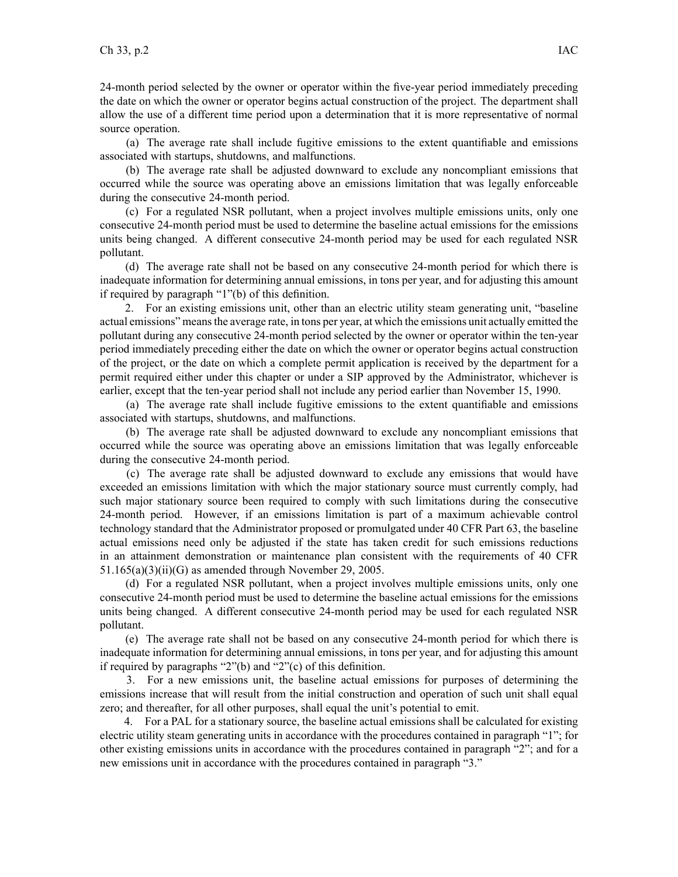24-month period selected by the owner or operator within the five-year period immediately preceding the date on which the owner or operator begins actual construction of the project. The department shall allow the use of <sup>a</sup> different time period upon <sup>a</sup> determination that it is more representative of normal source operation.

(a) The average rate shall include fugitive emissions to the extent quantifiable and emissions associated with startups, shutdowns, and malfunctions.

(b) The average rate shall be adjusted downward to exclude any noncompliant emissions that occurred while the source was operating above an emissions limitation that was legally enforceable during the consecutive 24-month period.

(c) For <sup>a</sup> regulated NSR pollutant, when <sup>a</sup> project involves multiple emissions units, only one consecutive 24-month period must be used to determine the baseline actual emissions for the emissions units being changed. A different consecutive 24-month period may be used for each regulated NSR pollutant.

(d) The average rate shall not be based on any consecutive 24-month period for which there is inadequate information for determining annual emissions, in tons per year, and for adjusting this amount if required by paragraph "1"(b) of this definition.

2. For an existing emissions unit, other than an electric utility steam generating unit, "baseline actual emissions" meansthe average rate, in tons per year, at which the emissions unit actually emitted the pollutant during any consecutive 24-month period selected by the owner or operator within the ten-year period immediately preceding either the date on which the owner or operator begins actual construction of the project, or the date on which <sup>a</sup> complete permit application is received by the department for <sup>a</sup> permit required either under this chapter or under <sup>a</sup> SIP approved by the Administrator, whichever is earlier, excep<sup>t</sup> that the ten-year period shall not include any period earlier than November 15, 1990.

(a) The average rate shall include fugitive emissions to the extent quantifiable and emissions associated with startups, shutdowns, and malfunctions.

(b) The average rate shall be adjusted downward to exclude any noncompliant emissions that occurred while the source was operating above an emissions limitation that was legally enforceable during the consecutive 24-month period.

(c) The average rate shall be adjusted downward to exclude any emissions that would have exceeded an emissions limitation with which the major stationary source must currently comply, had such major stationary source been required to comply with such limitations during the consecutive 24-month period. However, if an emissions limitation is par<sup>t</sup> of <sup>a</sup> maximum achievable control technology standard that the Administrator proposed or promulgated under 40 CFR Part 63, the baseline actual emissions need only be adjusted if the state has taken credit for such emissions reductions in an attainment demonstration or maintenance plan consistent with the requirements of 40 CFR 51.165(a)(3)(ii)(G) as amended through November 29, 2005.

(d) For <sup>a</sup> regulated NSR pollutant, when <sup>a</sup> project involves multiple emissions units, only one consecutive 24-month period must be used to determine the baseline actual emissions for the emissions units being changed. A different consecutive 24-month period may be used for each regulated NSR pollutant.

(e) The average rate shall not be based on any consecutive 24-month period for which there is inadequate information for determining annual emissions, in tons per year, and for adjusting this amount if required by paragraphs "2"(b) and "2"(c) of this definition.

3. For <sup>a</sup> new emissions unit, the baseline actual emissions for purposes of determining the emissions increase that will result from the initial construction and operation of such unit shall equal zero; and thereafter, for all other purposes, shall equal the unit's potential to emit.

4. For <sup>a</sup> PAL for <sup>a</sup> stationary source, the baseline actual emissions shall be calculated for existing electric utility steam generating units in accordance with the procedures contained in paragraph "1"; for other existing emissions units in accordance with the procedures contained in paragraph "2"; and for <sup>a</sup> new emissions unit in accordance with the procedures contained in paragraph "3."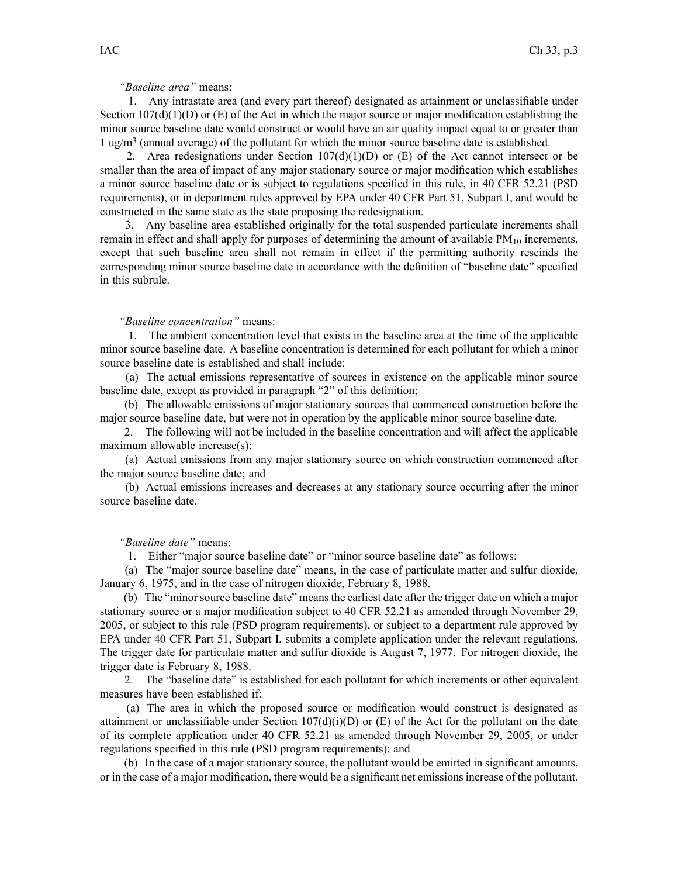# *"Baseline area"* means:

1. Any intrastate area (and every par<sup>t</sup> thereof) designated as attainment or unclassifiable under Section  $107(d)(1)(D)$  or (E) of the Act in which the major source or major modification establishing the minor source baseline date would construct or would have an air quality impact equal to or greater than 1 ug/m<sup>3</sup> (annual average) of the pollutant for which the minor source baseline date is established.

2. Area redesignations under Section  $107(d)(1)(D)$  or (E) of the Act cannot intersect or be smaller than the area of impact of any major stationary source or major modification which establishes <sup>a</sup> minor source baseline date or is subject to regulations specified in this rule, in 40 CFR 52.21 (PSD requirements), or in department rules approved by EPA under 40 CFR Part 51, Subpart I, and would be constructed in the same state as the state proposing the redesignation.

3. Any baseline area established originally for the total suspended particulate increments shall remain in effect and shall apply for purposes of determining the amount of available  $PM_{10}$  increments, excep<sup>t</sup> that such baseline area shall not remain in effect if the permitting authority rescinds the corresponding minor source baseline date in accordance with the definition of "baseline date" specified in this subrule.

#### *"Baseline concentration"* means:

1. The ambient concentration level that exists in the baseline area at the time of the applicable minor source baseline date. A baseline concentration is determined for each pollutant for which <sup>a</sup> minor source baseline date is established and shall include:

(a) The actual emissions representative of sources in existence on the applicable minor source baseline date, excep<sup>t</sup> as provided in paragraph "2" of this definition;

(b) The allowable emissions of major stationary sources that commenced construction before the major source baseline date, but were not in operation by the applicable minor source baseline date.

2. The following will not be included in the baseline concentration and will affect the applicable maximum allowable increase(s):

(a) Actual emissions from any major stationary source on which construction commenced after the major source baseline date; and

(b) Actual emissions increases and decreases at any stationary source occurring after the minor source baseline date.

# *"Baseline date"* means:

1. Either "major source baseline date" or "minor source baseline date" as follows:

(a) The "major source baseline date" means, in the case of particulate matter and sulfur dioxide, January 6, 1975, and in the case of nitrogen dioxide, February 8, 1988.

(b) The "minor source baseline date" means the earliest date after the trigger date on which <sup>a</sup> major stationary source or <sup>a</sup> major modification subject to 40 CFR 52.21 as amended through November 29, 2005, or subject to this rule (PSD program requirements), or subject to <sup>a</sup> department rule approved by EPA under 40 CFR Part 51, Subpart I, submits <sup>a</sup> complete application under the relevant regulations. The trigger date for particulate matter and sulfur dioxide is August 7, 1977. For nitrogen dioxide, the trigger date is February 8, 1988.

2. The "baseline date" is established for each pollutant for which increments or other equivalent measures have been established if:

(a) The area in which the proposed source or modification would construct is designated as attainment or unclassifiable under Section  $107(d)(i)(D)$  or (E) of the Act for the pollutant on the date of its complete application under 40 CFR 52.21 as amended through November 29, 2005, or under regulations specified in this rule (PSD program requirements); and

(b) In the case of <sup>a</sup> major stationary source, the pollutant would be emitted in significant amounts, or in the case of <sup>a</sup> major modification, there would be <sup>a</sup> significant net emissionsincrease of the pollutant.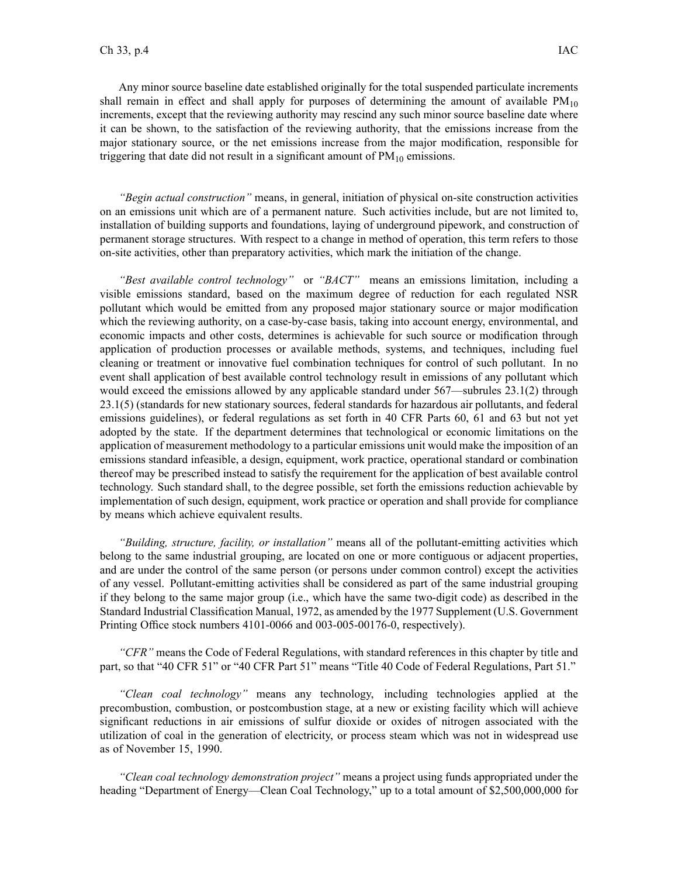Any minor source baseline date established originally for the total suspended particulate increments shall remain in effect and shall apply for purposes of determining the amount of available  $PM_{10}$ increments, excep<sup>t</sup> that the reviewing authority may rescind any such minor source baseline date where it can be shown, to the satisfaction of the reviewing authority, that the emissions increase from the major stationary source, or the net emissions increase from the major modification, responsible for triggering that date did not result in a significant amount of  $PM_{10}$  emissions.

*"Begin actual construction"* means, in general, initiation of physical on-site construction activities on an emissions unit which are of <sup>a</sup> permanen<sup>t</sup> nature. Such activities include, but are not limited to, installation of building supports and foundations, laying of underground pipework, and construction of permanen<sup>t</sup> storage structures. With respec<sup>t</sup> to <sup>a</sup> change in method of operation, this term refers to those on-site activities, other than preparatory activities, which mark the initiation of the change.

*"Best available control technology"* or *"BACT"* means an emissions limitation, including <sup>a</sup> visible emissions standard, based on the maximum degree of reduction for each regulated NSR pollutant which would be emitted from any proposed major stationary source or major modification which the reviewing authority, on a case-by-case basis, taking into account energy, environmental, and economic impacts and other costs, determines is achievable for such source or modification through application of production processes or available methods, systems, and techniques, including fuel cleaning or treatment or innovative fuel combination techniques for control of such pollutant. In no event shall application of best available control technology result in emissions of any pollutant which would exceed the emissions allowed by any applicable standard under 567—subrules 23.1(2) through 23.1(5) (standards for new stationary sources, federal standards for hazardous air pollutants, and federal emissions guidelines), or federal regulations as set forth in 40 CFR Parts 60, 61 and 63 but not ye<sup>t</sup> adopted by the state. If the department determines that technological or economic limitations on the application of measurement methodology to <sup>a</sup> particular emissions unit would make the imposition of an emissions standard infeasible, <sup>a</sup> design, equipment, work practice, operational standard or combination thereof may be prescribed instead to satisfy the requirement for the application of best available control technology. Such standard shall, to the degree possible, set forth the emissions reduction achievable by implementation of such design, equipment, work practice or operation and shall provide for compliance by means which achieve equivalent results.

*"Building, structure, facility, or installation"* means all of the pollutant-emitting activities which belong to the same industrial grouping, are located on one or more contiguous or adjacent properties, and are under the control of the same person (or persons under common control) excep<sup>t</sup> the activities of any vessel. Pollutant-emitting activities shall be considered as par<sup>t</sup> of the same industrial grouping if they belong to the same major group (i.e., which have the same two-digit code) as described in the Standard Industrial Classification Manual, 1972, as amended by the 1977 Supplement (U.S. Government Printing Office stock numbers 4101-0066 and 003-005-00176-0, respectively).

*"CFR"* means the Code of Federal Regulations, with standard references in this chapter by title and part, so that "40 CFR 51" or "40 CFR Part 51" means "Title 40 Code of Federal Regulations, Part 51."

*"Clean coal technology"* means any technology, including technologies applied at the precombustion, combustion, or postcombustion stage, at <sup>a</sup> new or existing facility which will achieve significant reductions in air emissions of sulfur dioxide or oxides of nitrogen associated with the utilization of coal in the generation of electricity, or process steam which was not in widespread use as of November 15, 1990.

*"Clean coal technology demonstration project"* means <sup>a</sup> project using funds appropriated under the heading "Department of Energy—Clean Coal Technology," up to <sup>a</sup> total amount of \$2,500,000,000 for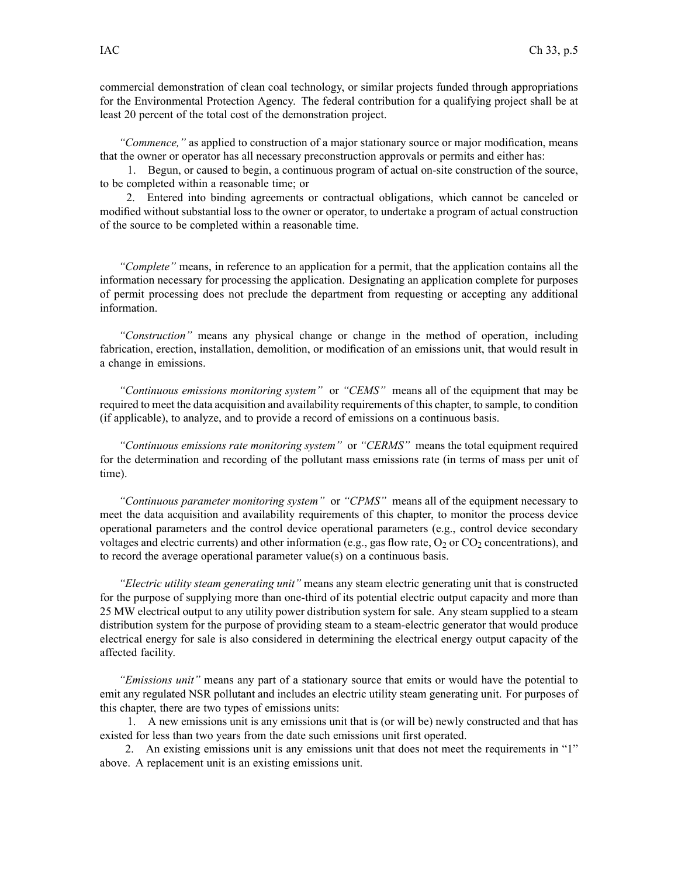commercial demonstration of clean coal technology, or similar projects funded through appropriations for the Environmental Protection Agency. The federal contribution for <sup>a</sup> qualifying project shall be at least 20 percen<sup>t</sup> of the total cost of the demonstration project.

*"Commence,"* as applied to construction of <sup>a</sup> major stationary source or major modification, means that the owner or operator has all necessary preconstruction approvals or permits and either has:

1. Begun, or caused to begin, <sup>a</sup> continuous program of actual on-site construction of the source, to be completed within <sup>a</sup> reasonable time; or

2. Entered into binding agreements or contractual obligations, which cannot be canceled or modified without substantial loss to the owner or operator, to undertake <sup>a</sup> program of actual construction of the source to be completed within <sup>a</sup> reasonable time.

*"Complete"* means, in reference to an application for <sup>a</sup> permit, that the application contains all the information necessary for processing the application. Designating an application complete for purposes of permit processing does not preclude the department from requesting or accepting any additional information.

*"Construction"* means any physical change or change in the method of operation, including fabrication, erection, installation, demolition, or modification of an emissions unit, that would result in <sup>a</sup> change in emissions.

*"Continuous emissions monitoring system"* or *"CEMS"* means all of the equipment that may be required to meet the data acquisition and availability requirements of this chapter, to sample, to condition (if applicable), to analyze, and to provide <sup>a</sup> record of emissions on <sup>a</sup> continuous basis.

*"Continuous emissions rate monitoring system"* or *"CERMS"* means the total equipment required for the determination and recording of the pollutant mass emissions rate (in terms of mass per unit of time).

*"Continuous parameter monitoring system"* or *"CPMS"* means all of the equipment necessary to meet the data acquisition and availability requirements of this chapter, to monitor the process device operational parameters and the control device operational parameters (e.g., control device secondary voltages and electric currents) and other information (e.g., gas flow rate,  $O_2$  or  $CO_2$  concentrations), and to record the average operational parameter value(s) on <sup>a</sup> continuous basis.

*"Electric utility steam generating unit"* means any steam electric generating unit that is constructed for the purpose of supplying more than one-third of its potential electric output capacity and more than 25 MW electrical output to any utility power distribution system for sale. Any steam supplied to <sup>a</sup> steam distribution system for the purpose of providing steam to <sup>a</sup> steam-electric generator that would produce electrical energy for sale is also considered in determining the electrical energy output capacity of the affected facility.

*"Emissions unit"* means any par<sup>t</sup> of <sup>a</sup> stationary source that emits or would have the potential to emit any regulated NSR pollutant and includes an electric utility steam generating unit. For purposes of this chapter, there are two types of emissions units:

1. A new emissions unit is any emissions unit that is (or will be) newly constructed and that has existed for less than two years from the date such emissions unit first operated.

2. An existing emissions unit is any emissions unit that does not meet the requirements in "1" above. A replacement unit is an existing emissions unit.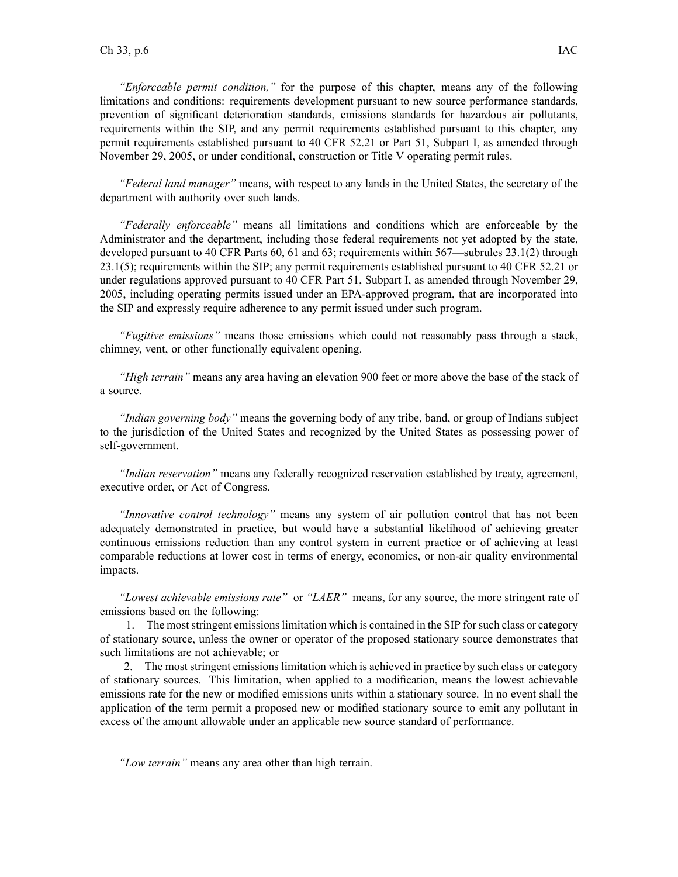*"Enforceable permit condition,"* for the purpose of this chapter, means any of the following limitations and conditions: requirements development pursuan<sup>t</sup> to new source performance standards, prevention of significant deterioration standards, emissions standards for hazardous air pollutants, requirements within the SIP, and any permit requirements established pursuan<sup>t</sup> to this chapter, any permit requirements established pursuan<sup>t</sup> to 40 CFR 52.21 or Part 51, Subpart I, as amended through November 29, 2005, or under conditional, construction or Title V operating permit rules.

*"Federal land manager"* means, with respec<sup>t</sup> to any lands in the United States, the secretary of the department with authority over such lands.

*"Federally enforceable"* means all limitations and conditions which are enforceable by the Administrator and the department, including those federal requirements not ye<sup>t</sup> adopted by the state, developed pursuan<sup>t</sup> to 40 CFR Parts 60, 61 and 63; requirements within 567—subrules 23.1(2) through 23.1(5); requirements within the SIP; any permit requirements established pursuan<sup>t</sup> to 40 CFR 52.21 or under regulations approved pursuan<sup>t</sup> to 40 CFR Part 51, Subpart I, as amended through November 29, 2005, including operating permits issued under an EPA-approved program, that are incorporated into the SIP and expressly require adherence to any permit issued under such program.

*"Fugitive emissions"* means those emissions which could not reasonably pass through <sup>a</sup> stack, chimney, vent, or other functionally equivalent opening.

*"High terrain"* means any area having an elevation 900 feet or more above the base of the stack of a source.

*"Indian governing body"* means the governing body of any tribe, band, or group of Indians subject to the jurisdiction of the United States and recognized by the United States as possessing power of self-government.

*"Indian reservation"* means any federally recognized reservation established by treaty, agreement, executive order, or Act of Congress.

*"Innovative control technology"* means any system of air pollution control that has not been adequately demonstrated in practice, but would have <sup>a</sup> substantial likelihood of achieving greater continuous emissions reduction than any control system in current practice or of achieving at least comparable reductions at lower cost in terms of energy, economics, or non-air quality environmental impacts.

*"Lowest achievable emissions rate"* or *"LAER"* means, for any source, the more stringent rate of emissions based on the following:

1. The moststringent emissionslimitation which is contained in the SIP forsuch class or category of stationary source, unless the owner or operator of the proposed stationary source demonstrates that such limitations are not achievable; or

2. The most stringent emissions limitation which is achieved in practice by such class or category of stationary sources. This limitation, when applied to <sup>a</sup> modification, means the lowest achievable emissions rate for the new or modified emissions units within <sup>a</sup> stationary source. In no event shall the application of the term permit <sup>a</sup> proposed new or modified stationary source to emit any pollutant in excess of the amount allowable under an applicable new source standard of performance.

*"Low terrain"* means any area other than high terrain.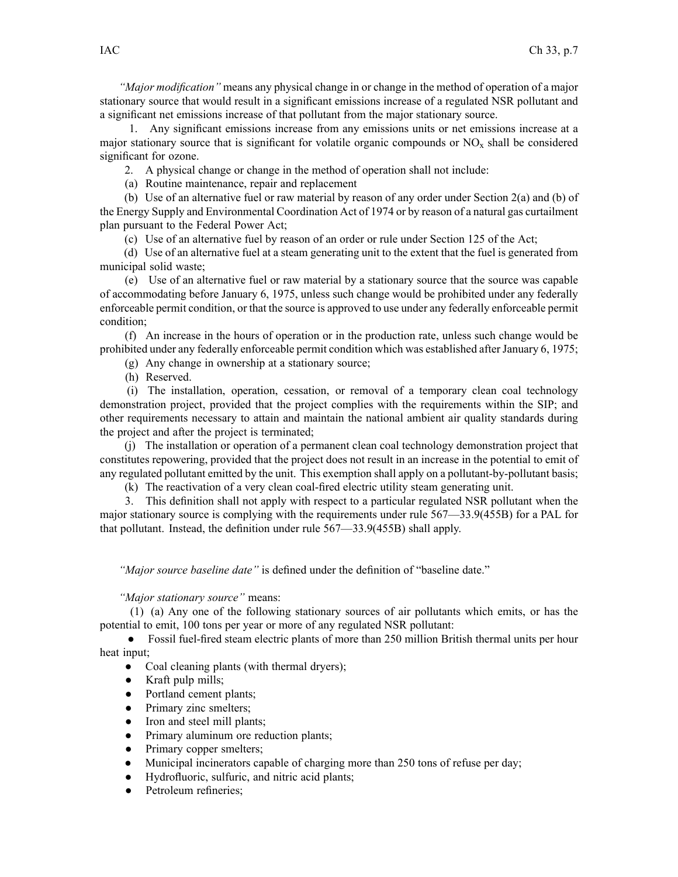*"Major modification"* means any physical change in or change in the method of operation of <sup>a</sup> major stationary source that would result in <sup>a</sup> significant emissions increase of <sup>a</sup> regulated NSR pollutant and <sup>a</sup> significant net emissions increase of that pollutant from the major stationary source.

1. Any significant emissions increase from any emissions units or net emissions increase at <sup>a</sup> major stationary source that is significant for volatile organic compounds or  $NO<sub>x</sub>$  shall be considered significant for ozone.

2. A physical change or change in the method of operation shall not include:

(a) Routine maintenance, repair and replacement

(b) Use of an alternative fuel or raw material by reason of any order under Section 2(a) and (b) of the Energy Supply and Environmental Coordination Act of 1974 or by reason of <sup>a</sup> natural gas curtailment plan pursuan<sup>t</sup> to the Federal Power Act;

(c) Use of an alternative fuel by reason of an order or rule under Section 125 of the Act;

(d) Use of an alternative fuel at <sup>a</sup> steam generating unit to the extent that the fuel is generated from municipal solid waste;

(e) Use of an alternative fuel or raw material by <sup>a</sup> stationary source that the source was capable of accommodating before January 6, 1975, unless such change would be prohibited under any federally enforceable permit condition, or that the source is approved to use under any federally enforceable permit condition;

(f) An increase in the hours of operation or in the production rate, unless such change would be prohibited under any federally enforceable permit condition which was established after January 6, 1975;

(g) Any change in ownership at <sup>a</sup> stationary source;

(h) Reserved.

(i) The installation, operation, cessation, or removal of <sup>a</sup> temporary clean coal technology demonstration project, provided that the project complies with the requirements within the SIP; and other requirements necessary to attain and maintain the national ambient air quality standards during the project and after the project is terminated;

(j) The installation or operation of <sup>a</sup> permanen<sup>t</sup> clean coal technology demonstration project that constitutes repowering, provided that the project does not result in an increase in the potential to emit of any regulated pollutant emitted by the unit. This exemption shall apply on <sup>a</sup> pollutant-by-pollutant basis;

(k) The reactivation of <sup>a</sup> very clean coal-fired electric utility steam generating unit.

3. This definition shall not apply with respec<sup>t</sup> to <sup>a</sup> particular regulated NSR pollutant when the major stationary source is complying with the requirements under rule 567—33.9(455B) for <sup>a</sup> PAL for that pollutant. Instead, the definition under rule 567—33.9(455B) shall apply.

*"Major source baseline date"* is defined under the definition of "baseline date."

# *"Major stationary source"* means:

(1) (a) Any one of the following stationary sources of air pollutants which emits, or has the potential to emit, 100 tons per year or more of any regulated NSR pollutant:

• Fossil fuel-fired steam electric plants of more than 250 million British thermal units per hour heat input;

- $\bullet$ Coal cleaning plants (with thermal dryers);
- ●Kraft pulp mills;
- ●Portland cement plants;
- $\bullet$ Primary zinc smelters;
- $\bullet$ Iron and steel mill plants;
- $\bullet$ Primary aluminum ore reduction plants;
- ●Primary copper smelters;
- $\bullet$ Municipal incinerators capable of charging more than 250 tons of refuse per day;
- ●Hydrofluoric, sulfuric, and nitric acid plants;
- $\bullet$ Petroleum refineries;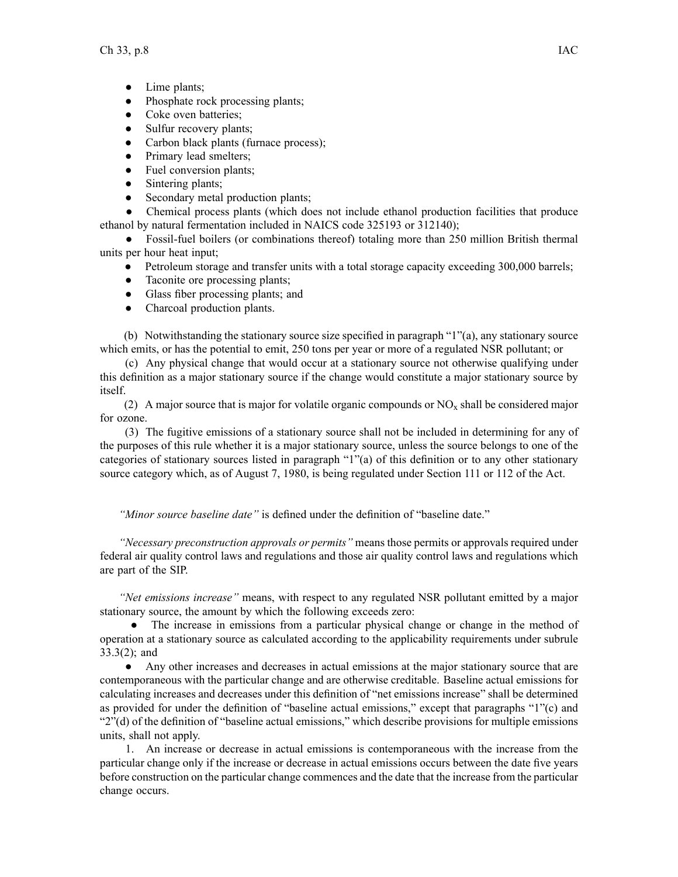- Lime plants;
- $\bullet$ Phosphate rock processing plants;
- ●Coke oven batteries;
- ●Sulfur recovery plants;
- $\bullet$ Carbon black plants (furnace process);
- $\bullet$ Primary lead smelters;
- $\bullet$ Fuel conversion plants;
- $\bullet$ Sintering plants;
- ●Secondary metal production plants;

 $\bullet$  Chemical process plants (which does not include ethanol production facilities that produce ethanol by natural fermentation included in NAICS code 325193 or 312140);

 $\bullet$  Fossil-fuel boilers (or combinations thereof) totaling more than 250 million British thermal units per hour heat input;

- $\bullet$ Petroleum storage and transfer units with a total storage capacity exceeding 300,000 barrels;
- Taconite ore processing plants;
- Glass fiber processing plants; and
- $\bullet$ Charcoal production plants.

(b) Notwithstanding the stationary source size specified in paragraph "1"(a), any stationary source which emits, or has the potential to emit, 250 tons per year or more of <sup>a</sup> regulated NSR pollutant; or

(c) Any physical change that would occur at <sup>a</sup> stationary source not otherwise qualifying under this definition as <sup>a</sup> major stationary source if the change would constitute <sup>a</sup> major stationary source by itself.

(2) A major source that is major for volatile organic compounds or  $NO<sub>x</sub>$  shall be considered major for ozone.

(3) The fugitive emissions of <sup>a</sup> stationary source shall not be included in determining for any of the purposes of this rule whether it is <sup>a</sup> major stationary source, unless the source belongs to one of the categories of stationary sources listed in paragraph "1"(a) of this definition or to any other stationary source category which, as of August 7, 1980, is being regulated under Section 111 or 112 of the Act.

*"Minor source baseline date"* is defined under the definition of "baseline date."

*"Necessary preconstruction approvals or permits"* means those permits or approvals required under federal air quality control laws and regulations and those air quality control laws and regulations which are par<sup>t</sup> of the SIP.

*"Net emissions increase"* means, with respec<sup>t</sup> to any regulated NSR pollutant emitted by <sup>a</sup> major stationary source, the amount by which the following exceeds zero:

• The increase in emissions from a particular physical change or change in the method of operation at <sup>a</sup> stationary source as calculated according to the applicability requirements under subrule 33.3(2); and

● Any other increases and decreases in actual emissions at the major stationary source that are contemporaneous with the particular change and are otherwise creditable. Baseline actual emissions for calculating increases and decreases under this definition of "net emissions increase" shall be determined as provided for under the definition of "baseline actual emissions," excep<sup>t</sup> that paragraphs "1"(c) and "2"(d) of the definition of "baseline actual emissions," which describe provisions for multiple emissions units, shall not apply.

1. An increase or decrease in actual emissions is contemporaneous with the increase from the particular change only if the increase or decrease in actual emissions occurs between the date five years before construction on the particular change commences and the date that the increase from the particular change occurs.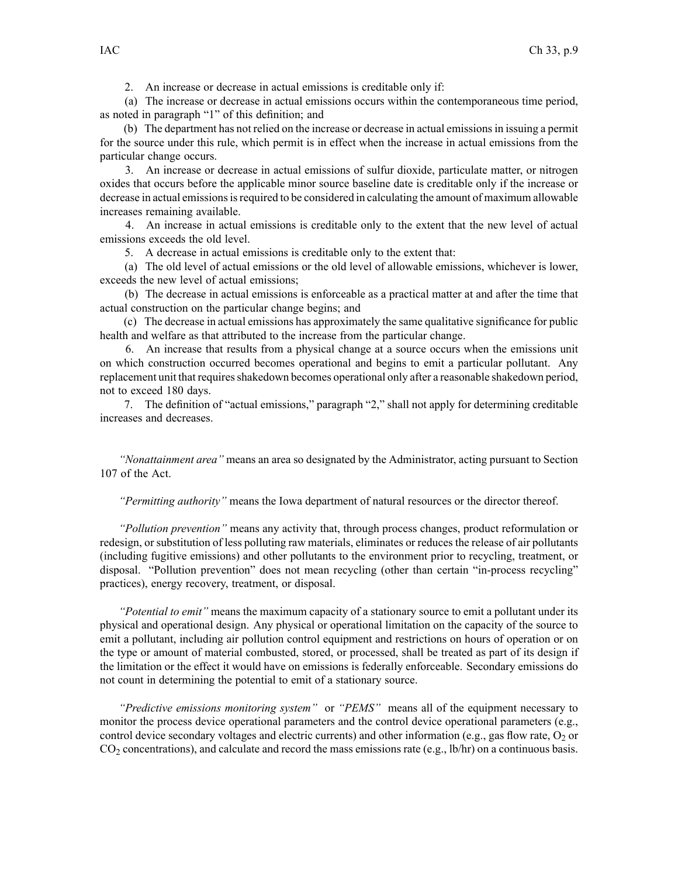2. An increase or decrease in actual emissions is creditable only if:

(a) The increase or decrease in actual emissions occurs within the contemporaneous time period, as noted in paragraph "1" of this definition; and

(b) The department has not relied on the increase or decrease in actual emissionsin issuing <sup>a</sup> permit for the source under this rule, which permit is in effect when the increase in actual emissions from the particular change occurs.

3. An increase or decrease in actual emissions of sulfur dioxide, particulate matter, or nitrogen oxides that occurs before the applicable minor source baseline date is creditable only if the increase or decrease in actual emissions is required to be considered in calculating the amount of maximum allowable increases remaining available.

4. An increase in actual emissions is creditable only to the extent that the new level of actual emissions exceeds the old level.

5. A decrease in actual emissions is creditable only to the extent that:

(a) The old level of actual emissions or the old level of allowable emissions, whichever is lower, exceeds the new level of actual emissions;

(b) The decrease in actual emissions is enforceable as <sup>a</sup> practical matter at and after the time that actual construction on the particular change begins; and

(c) The decrease in actual emissions has approximately the same qualitative significance for public health and welfare as that attributed to the increase from the particular change.

6. An increase that results from <sup>a</sup> physical change at <sup>a</sup> source occurs when the emissions unit on which construction occurred becomes operational and begins to emit <sup>a</sup> particular pollutant. Any replacement unit that requires shakedown becomes operational only after a reasonable shakedown period, not to exceed 180 days.

7. The definition of "actual emissions," paragraph "2," shall not apply for determining creditable increases and decreases.

*"Nonattainment area"* means an area so designated by the Administrator, acting pursuan<sup>t</sup> to Section 107 of the Act.

*"Permitting authority"* means the Iowa department of natural resources or the director thereof.

*"Pollution prevention"* means any activity that, through process changes, product reformulation or redesign, or substitution of less polluting raw materials, eliminates or reduces the release of air pollutants (including fugitive emissions) and other pollutants to the environment prior to recycling, treatment, or disposal. "Pollution prevention" does not mean recycling (other than certain "in-process recycling" practices), energy recovery, treatment, or disposal.

*"Potential to emit"* means the maximum capacity of <sup>a</sup> stationary source to emit <sup>a</sup> pollutant under its physical and operational design. Any physical or operational limitation on the capacity of the source to emit <sup>a</sup> pollutant, including air pollution control equipment and restrictions on hours of operation or on the type or amount of material combusted, stored, or processed, shall be treated as par<sup>t</sup> of its design if the limitation or the effect it would have on emissions is federally enforceable. Secondary emissions do not count in determining the potential to emit of <sup>a</sup> stationary source.

*"Predictive emissions monitoring system"* or *"PEMS"* means all of the equipment necessary to monitor the process device operational parameters and the control device operational parameters (e.g., control device secondary voltages and electric currents) and other information (e.g., gas flow rate,  $O_2$  or  $CO<sub>2</sub>$  concentrations), and calculate and record the mass emissions rate (e.g., lb/hr) on a continuous basis.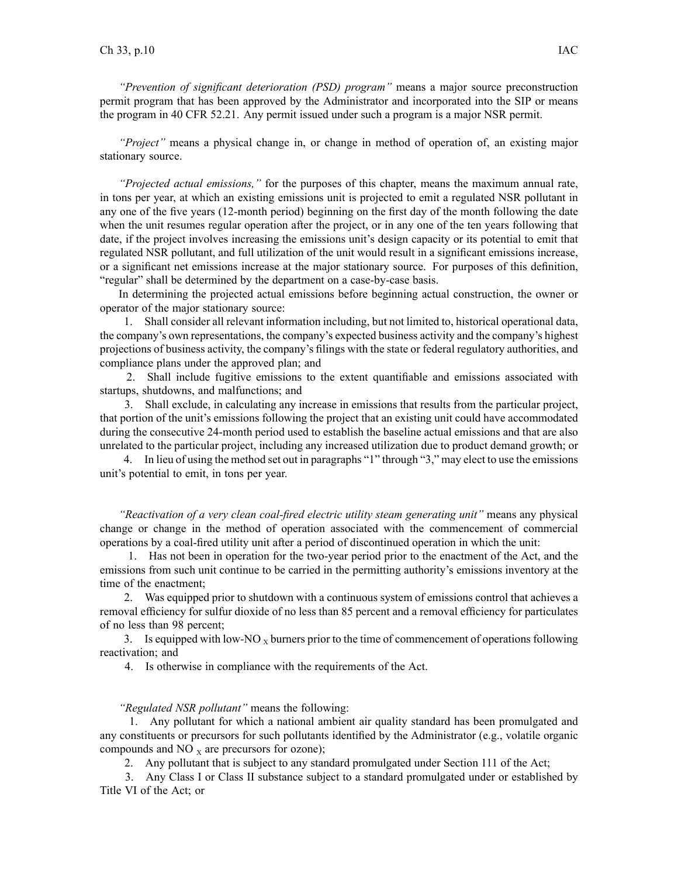*"Prevention of significant deterioration (PSD) program"* means <sup>a</sup> major source preconstruction permit program that has been approved by the Administrator and incorporated into the SIP or means the program in 40 CFR 52.21. Any permit issued under such <sup>a</sup> program is <sup>a</sup> major NSR permit.

*"Project"* means <sup>a</sup> physical change in, or change in method of operation of, an existing major stationary source.

*"Projected actual emissions,"* for the purposes of this chapter, means the maximum annual rate, in tons per year, at which an existing emissions unit is projected to emit <sup>a</sup> regulated NSR pollutant in any one of the five years (12-month period) beginning on the first day of the month following the date when the unit resumes regular operation after the project, or in any one of the ten years following that date, if the project involves increasing the emissions unit's design capacity or its potential to emit that regulated NSR pollutant, and full utilization of the unit would result in <sup>a</sup> significant emissions increase, or <sup>a</sup> significant net emissions increase at the major stationary source. For purposes of this definition, "regular" shall be determined by the department on a case-by-case basis.

In determining the projected actual emissions before beginning actual construction, the owner or operator of the major stationary source:

1. Shall consider all relevant information including, but not limited to, historical operational data, the company's own representations, the company's expected business activity and the company's highest projections of business activity, the company's filings with the state or federal regulatory authorities, and compliance plans under the approved plan; and

2. Shall include fugitive emissions to the extent quantifiable and emissions associated with startups, shutdowns, and malfunctions; and

3. Shall exclude, in calculating any increase in emissions that results from the particular project, that portion of the unit's emissions following the project that an existing unit could have accommodated during the consecutive 24-month period used to establish the baseline actual emissions and that are also unrelated to the particular project, including any increased utilization due to product demand growth; or

4. In lieu of using the method set out in paragraphs "1" through "3," may elect to use the emissions unit's potential to emit, in tons per year.

*"Reactivation of <sup>a</sup> very clean coal-fired electric utility steam generating unit"* means any physical change or change in the method of operation associated with the commencement of commercial operations by <sup>a</sup> coal-fired utility unit after <sup>a</sup> period of discontinued operation in which the unit:

1. Has not been in operation for the two-year period prior to the enactment of the Act, and the emissions from such unit continue to be carried in the permitting authority's emissions inventory at the time of the enactment;

2. Was equipped prior to shutdown with <sup>a</sup> continuous system of emissions control that achieves <sup>a</sup> removal efficiency for sulfur dioxide of no less than 85 percen<sup>t</sup> and <sup>a</sup> removal efficiency for particulates of no less than 98 percent;

3. Is equipped with low-NO  $_X$  burners prior to the time of commencement of operations following reactivation; and

4. Is otherwise in compliance with the requirements of the Act.

#### *"Regulated NSR pollutant"* means the following:

1. Any pollutant for which <sup>a</sup> national ambient air quality standard has been promulgated and any constituents or precursors for such pollutants identified by the Administrator (e.g., volatile organic compounds and NO  $<sub>x</sub>$  are precursors for ozone);</sub>

2. Any pollutant that is subject to any standard promulgated under Section 111 of the Act;

3. Any Class I or Class II substance subject to <sup>a</sup> standard promulgated under or established by Title VI of the Act; or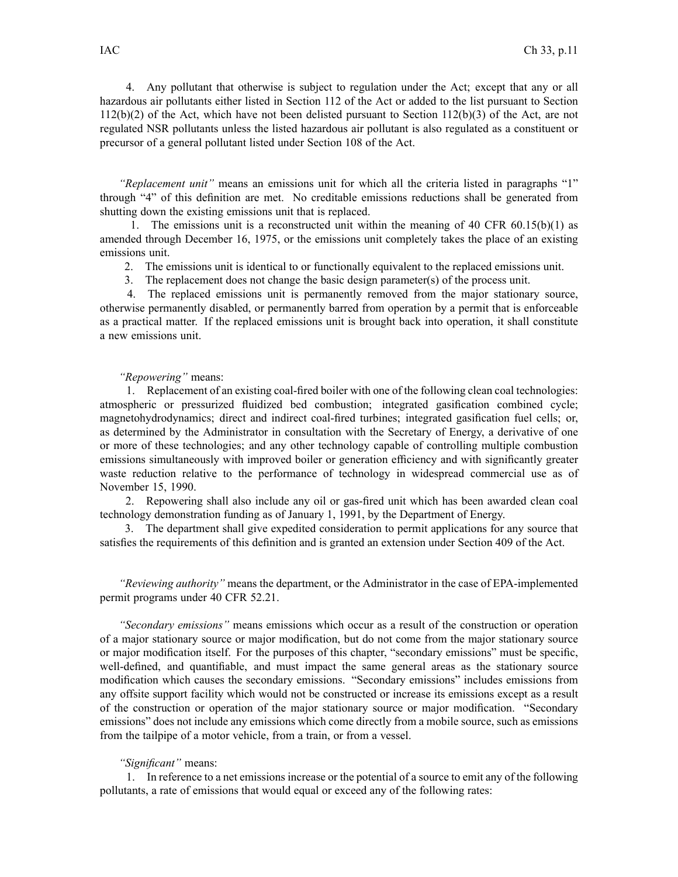4. Any pollutant that otherwise is subject to regulation under the Act; excep<sup>t</sup> that any or all hazardous air pollutants either listed in Section 112 of the Act or added to the list pursuan<sup>t</sup> to Section 112(b)(2) of the Act, which have not been delisted pursuan<sup>t</sup> to Section 112(b)(3) of the Act, are not regulated NSR pollutants unless the listed hazardous air pollutant is also regulated as <sup>a</sup> constituent or precursor of <sup>a</sup> general pollutant listed under Section 108 of the Act.

*"Replacement unit"* means an emissions unit for which all the criteria listed in paragraphs "1" through "4" of this definition are met. No creditable emissions reductions shall be generated from shutting down the existing emissions unit that is replaced.

1. The emissions unit is <sup>a</sup> reconstructed unit within the meaning of 40 CFR 60.15(b)(1) as amended through December 16, 1975, or the emissions unit completely takes the place of an existing emissions unit.

2. The emissions unit is identical to or functionally equivalent to the replaced emissions unit.

3. The replacement does not change the basic design parameter(s) of the process unit.

4. The replaced emissions unit is permanently removed from the major stationary source, otherwise permanently disabled, or permanently barred from operation by <sup>a</sup> permit that is enforceable as <sup>a</sup> practical matter. If the replaced emissions unit is brought back into operation, it shall constitute <sup>a</sup> new emissions unit.

### *"Repowering"* means:

1. Replacement of an existing coal-fired boiler with one of the following clean coal technologies: atmospheric or pressurized fluidized bed combustion; integrated gasification combined cycle; magnetohydrodynamics; direct and indirect coal-fired turbines; integrated gasification fuel cells; or, as determined by the Administrator in consultation with the Secretary of Energy, <sup>a</sup> derivative of one or more of these technologies; and any other technology capable of controlling multiple combustion emissions simultaneously with improved boiler or generation efficiency and with significantly greater waste reduction relative to the performance of technology in widespread commercial use as of November 15, 1990.

2. Repowering shall also include any oil or gas-fired unit which has been awarded clean coal technology demonstration funding as of January 1, 1991, by the Department of Energy.

3. The department shall give expedited consideration to permit applications for any source that satisfies the requirements of this definition and is granted an extension under Section 409 of the Act.

*"Reviewing authority"* means the department, or the Administrator in the case of EPA-implemented permit programs under 40 CFR 52.21.

*"Secondary emissions"* means emissions which occur as <sup>a</sup> result of the construction or operation of <sup>a</sup> major stationary source or major modification, but do not come from the major stationary source or major modification itself. For the purposes of this chapter, "secondary emissions" must be specific, well-defined, and quantifiable, and must impact the same general areas as the stationary source modification which causes the secondary emissions. "Secondary emissions" includes emissions from any offsite suppor<sup>t</sup> facility which would not be constructed or increase its emissions excep<sup>t</sup> as <sup>a</sup> result of the construction or operation of the major stationary source or major modification. "Secondary emissions" does not include any emissions which come directly from <sup>a</sup> mobile source, such as emissions from the tailpipe of <sup>a</sup> motor vehicle, from <sup>a</sup> train, or from <sup>a</sup> vessel.

### *"Significant"* means:

1. In reference to <sup>a</sup> net emissions increase or the potential of <sup>a</sup> source to emit any of the following pollutants, <sup>a</sup> rate of emissions that would equal or exceed any of the following rates: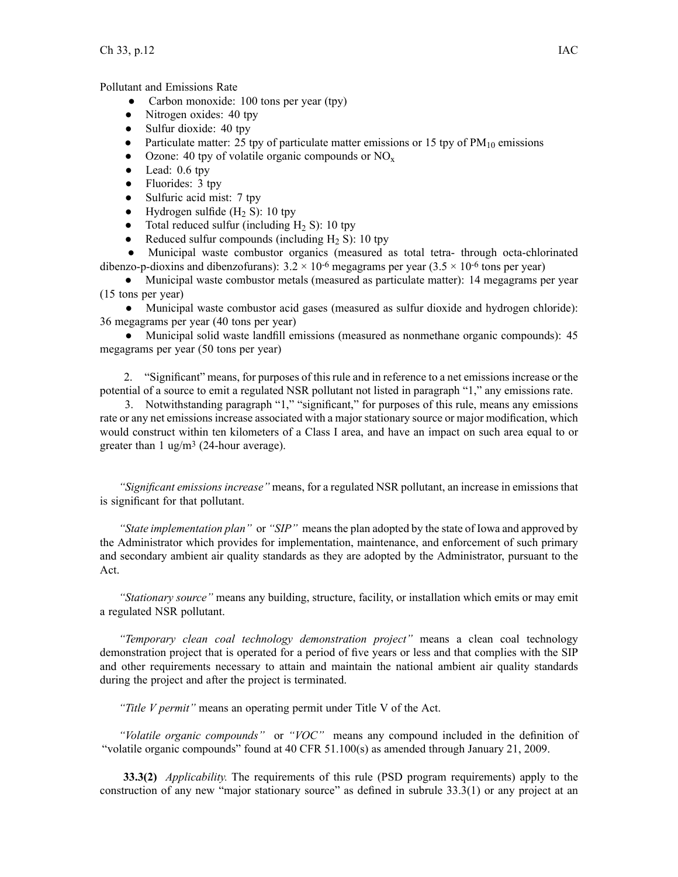# Pollutant and Emissions Rate

- ●Carbon monoxide: 100 tons per year (tpy)
- ●Nitrogen oxides: 40 tpy
- ●Sulfur dioxide: 40 tpy
- $\bullet$ Particulate matter: 25 tpy of particulate matter emissions or 15 tpy of  $PM_{10}$  emissions
- $\bullet$ Ozone: 40 tpy of volatile organic compounds or  $NO_x$
- $\bullet$ Lead: 0.6 tpy
- $\bullet$ Fluorides: 3 tpy
- $\bullet$ Sulfuric acid mist: 7 tpy
- $\bullet$ Hydrogen sulfide  $(H<sub>2</sub> S)$ : 10 tpy
- ●Total reduced sulfur (including  $H_2$  S): 10 tpy
- ●Reduced sulfur compounds (including  $H_2$  S): 10 tpy

 $\bullet$  Municipal waste combustor organics (measured as total tetra- through octa-chlorinated dibenzo-p-dioxins and dibenzofurans):  $3.2 \times 10^{-6}$  megagrams per year  $(3.5 \times 10^{-6}$  tons per year)

● Municipal waste combustor metals (measured as particulate matter): 14 megagrams per year (15 tons per year)

• Municipal waste combustor acid gases (measured as sulfur dioxide and hydrogen chloride) 36 megagrams per year (40 tons per year)

• Municipal solid waste landfill emissions (measured as nonmethane organic compounds): 45 megagrams per year (50 tons per year)

2. "Significant" means, for purposes of this rule and in reference to <sup>a</sup> net emissions increase or the potential of <sup>a</sup> source to emit <sup>a</sup> regulated NSR pollutant not listed in paragraph "1," any emissions rate.

3. Notwithstanding paragraph "1," "significant," for purposes of this rule, means any emissions rate or any net emissions increase associated with <sup>a</sup> major stationary source or major modification, which would construct within ten kilometers of <sup>a</sup> Class I area, and have an impact on such area equal to or greater than 1 ug/m<sup>3</sup> (24-hour average).

*"Significant emissions increase"* means, for <sup>a</sup> regulated NSR pollutant, an increase in emissions that is significant for that pollutant.

*"State implementation plan"* or *"SIP"* meansthe plan adopted by the state of Iowa and approved by the Administrator which provides for implementation, maintenance, and enforcement of such primary and secondary ambient air quality standards as they are adopted by the Administrator, pursuan<sup>t</sup> to the Act.

*"Stationary source"* means any building, structure, facility, or installation which emits or may emit <sup>a</sup> regulated NSR pollutant.

*"Temporary clean coal technology demonstration project"* means <sup>a</sup> clean coal technology demonstration project that is operated for <sup>a</sup> period of five years or less and that complies with the SIP and other requirements necessary to attain and maintain the national ambient air quality standards during the project and after the project is terminated.

*"Title V permit"* means an operating permit under Title V of the Act.

*"Volatile organic compounds"* or *"VOC"* means any compound included in the definition of "volatile organic compounds" found at 40 CFR 51.100(s) as amended through January 21, 2009.

**33.3(2)** *Applicability.* The requirements of this rule (PSD program requirements) apply to the construction of any new "major stationary source" as defined in subrule 33.3(1) or any project at an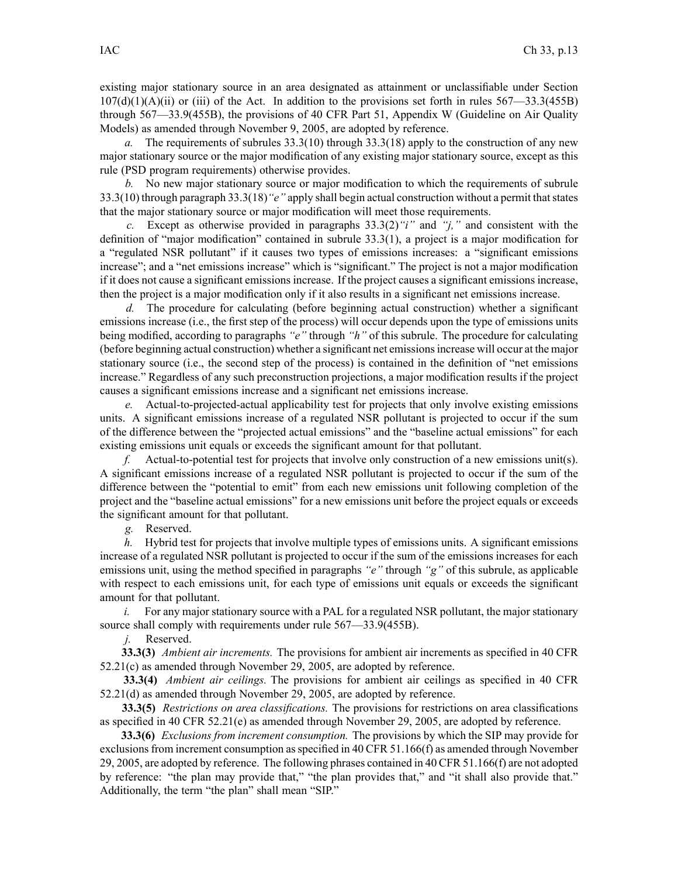existing major stationary source in an area designated as attainment or unclassifiable under Section  $107(d)(1)(A)(ii)$  or (iii) of the Act. In addition to the provisions set forth in rules 567—33.3(455B) through 567—33.9(455B), the provisions of 40 CFR Part 51, Appendix W (Guideline on Air Quality Models) as amended through November 9, 2005, are adopted by reference.

*a.* The requirements of subrules 33.3(10) through 33.3(18) apply to the construction of any new major stationary source or the major modification of any existing major stationary source, excep<sup>t</sup> as this rule (PSD program requirements) otherwise provides.

*b.* No new major stationary source or major modification to which the requirements of subrule 33.3(10) through paragraph 33.3(18)*"e"* apply shall begin actual construction without <sup>a</sup> permit thatstates that the major stationary source or major modification will meet those requirements.

*c.* Except as otherwise provided in paragraphs 33.3(2)*"i"* and *"j,"* and consistent with the definition of "major modification" contained in subrule 33.3(1), <sup>a</sup> project is <sup>a</sup> major modification for <sup>a</sup> "regulated NSR pollutant" if it causes two types of emissions increases: <sup>a</sup> "significant emissions increase"; and <sup>a</sup> "net emissions increase" which is "significant." The project is not <sup>a</sup> major modification if it does not cause <sup>a</sup> significant emissions increase. If the project causes <sup>a</sup> significant emissions increase, then the project is <sup>a</sup> major modification only if it also results in <sup>a</sup> significant net emissions increase.

*d.* The procedure for calculating (before beginning actual construction) whether <sup>a</sup> significant emissions increase (i.e., the first step of the process) will occur depends upon the type of emissions units being modified, according to paragraphs *"e"* through *"h"* of this subrule. The procedure for calculating (before beginning actual construction) whether <sup>a</sup> significant net emissionsincrease will occur at the major stationary source (i.e., the second step of the process) is contained in the definition of "net emissions increase." Regardless of any such preconstruction projections, <sup>a</sup> major modification results if the project causes <sup>a</sup> significant emissions increase and <sup>a</sup> significant net emissions increase.

*e.* Actual-to-projected-actual applicability test for projects that only involve existing emissions units. A significant emissions increase of <sup>a</sup> regulated NSR pollutant is projected to occur if the sum of the difference between the "projected actual emissions" and the "baseline actual emissions" for each existing emissions unit equals or exceeds the significant amount for that pollutant.

*f.* Actual-to-potential test for projects that involve only construction of <sup>a</sup> new emissions unit(s). A significant emissions increase of <sup>a</sup> regulated NSR pollutant is projected to occur if the sum of the difference between the "potential to emit" from each new emissions unit following completion of the project and the "baseline actual emissions" for <sup>a</sup> new emissions unit before the project equals or exceeds the significant amount for that pollutant.

*g.* Reserved.

*h.* Hybrid test for projects that involve multiple types of emissions units. A significant emissions increase of <sup>a</sup> regulated NSR pollutant is projected to occur if the sum of the emissions increases for each emissions unit, using the method specified in paragraphs *"e"* through *"g"* of this subrule, as applicable with respec<sup>t</sup> to each emissions unit, for each type of emissions unit equals or exceeds the significant amount for that pollutant.

*i.* For any major stationary source with a PAL for a regulated NSR pollutant, the major stationary source shall comply with requirements under rule 567—33.9(455B).

*j.* Reserved.

**33.3(3)** *Ambient air increments.* The provisions for ambient air increments as specified in 40 CFR 52.21(c) as amended through November 29, 2005, are adopted by reference.

**33.3(4)** *Ambient air ceilings.* The provisions for ambient air ceilings as specified in 40 CFR 52.21(d) as amended through November 29, 2005, are adopted by reference.

**33.3(5)** *Restrictions on area classifications.* The provisions for restrictions on area classifications as specified in 40 CFR 52.21(e) as amended through November 29, 2005, are adopted by reference.

**33.3(6)** *Exclusions from increment consumption.* The provisions by which the SIP may provide for exclusions from increment consumption as specified in 40 CFR 51.166(f) as amended through November 29, 2005, are adopted by reference. The following phrases contained in 40 CFR 51.166(f) are not adopted by reference: "the plan may provide that," "the plan provides that," and "it shall also provide that." Additionally, the term "the plan" shall mean "SIP."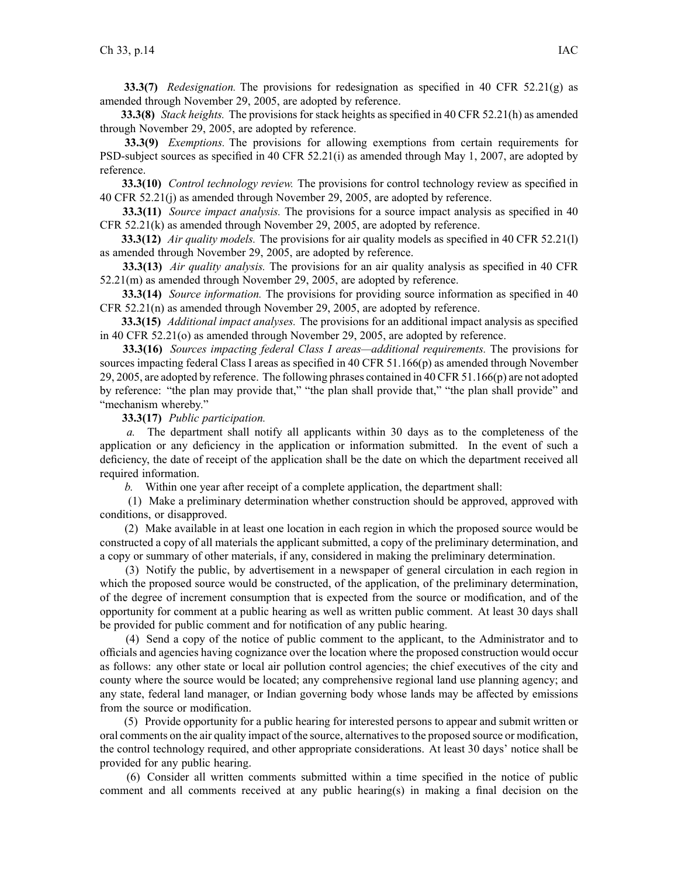**33.3(7)** *Redesignation.* The provisions for redesignation as specified in 40 CFR 52.21(g) as amended through November 29, 2005, are adopted by reference.

**33.3(8)** *Stack heights.* The provisions for stack heights as specified in 40 CFR 52.21(h) as amended through November 29, 2005, are adopted by reference.

**33.3(9)** *Exemptions.* The provisions for allowing exemptions from certain requirements for PSD-subject sources as specified in 40 CFR 52.21(i) as amended through May 1, 2007, are adopted by reference.

**33.3(10)** *Control technology review.* The provisions for control technology review as specified in 40 CFR 52.21(j) as amended through November 29, 2005, are adopted by reference.

**33.3(11)** *Source impact analysis.* The provisions for <sup>a</sup> source impact analysis as specified in 40 CFR 52.21(k) as amended through November 29, 2005, are adopted by reference.

**33.3(12)** *Air quality models.* The provisions for air quality models as specified in 40 CFR 52.21(l) as amended through November 29, 2005, are adopted by reference.

**33.3(13)** *Air quality analysis.* The provisions for an air quality analysis as specified in 40 CFR 52.21(m) as amended through November 29, 2005, are adopted by reference.

**33.3(14)** *Source information.* The provisions for providing source information as specified in 40 CFR 52.21(n) as amended through November 29, 2005, are adopted by reference.

**33.3(15)** *Additional impact analyses.* The provisions for an additional impact analysis as specified in 40 CFR 52.21(o) as amended through November 29, 2005, are adopted by reference.

**33.3(16)** *Sources impacting federal Class I areas—additional requirements.* The provisions for sources impacting federal Class I areas as specified in 40 CFR 51.166(p) as amended through November 29, 2005, are adopted by reference. The following phrases contained in 40 CFR 51.166(p) are not adopted by reference: "the plan may provide that," "the plan shall provide that," "the plan shall provide" and "mechanism whereby."

**33.3(17)** *Public participation.*

*a.* The department shall notify all applicants within 30 days as to the completeness of the application or any deficiency in the application or information submitted. In the event of such <sup>a</sup> deficiency, the date of receipt of the application shall be the date on which the department received all required information.

*b.* Within one year after receipt of <sup>a</sup> complete application, the department shall:

(1) Make <sup>a</sup> preliminary determination whether construction should be approved, approved with conditions, or disapproved.

(2) Make available in at least one location in each region in which the proposed source would be constructed <sup>a</sup> copy of all materials the applicant submitted, <sup>a</sup> copy of the preliminary determination, and <sup>a</sup> copy or summary of other materials, if any, considered in making the preliminary determination.

(3) Notify the public, by advertisement in <sup>a</sup> newspaper of general circulation in each region in which the proposed source would be constructed, of the application, of the preliminary determination, of the degree of increment consumption that is expected from the source or modification, and of the opportunity for comment at <sup>a</sup> public hearing as well as written public comment. At least 30 days shall be provided for public comment and for notification of any public hearing.

(4) Send <sup>a</sup> copy of the notice of public comment to the applicant, to the Administrator and to officials and agencies having cognizance over the location where the proposed construction would occur as follows: any other state or local air pollution control agencies; the chief executives of the city and county where the source would be located; any comprehensive regional land use planning agency; and any state, federal land manager, or Indian governing body whose lands may be affected by emissions from the source or modification.

(5) Provide opportunity for <sup>a</sup> public hearing for interested persons to appear and submit written or oral comments on the air quality impact of the source, alternativesto the proposed source or modification, the control technology required, and other appropriate considerations. At least 30 days' notice shall be provided for any public hearing.

(6) Consider all written comments submitted within <sup>a</sup> time specified in the notice of public comment and all comments received at any public hearing(s) in making <sup>a</sup> final decision on the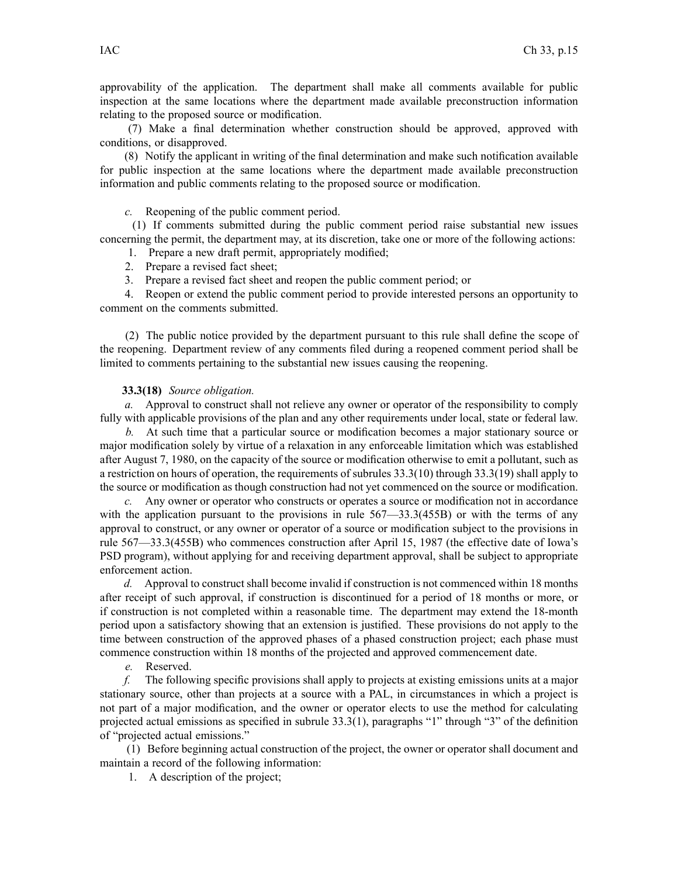approvability of the application. The department shall make all comments available for public inspection at the same locations where the department made available preconstruction information relating to the proposed source or modification.

(7) Make <sup>a</sup> final determination whether construction should be approved, approved with conditions, or disapproved.

(8) Notify the applicant in writing of the final determination and make such notification available for public inspection at the same locations where the department made available preconstruction information and public comments relating to the proposed source or modification.

*c.* Reopening of the public comment period.

(1) If comments submitted during the public comment period raise substantial new issues concerning the permit, the department may, at its discretion, take one or more of the following actions:

1. Prepare <sup>a</sup> new draft permit, appropriately modified;

2. Prepare <sup>a</sup> revised fact sheet;

3. Prepare <sup>a</sup> revised fact sheet and reopen the public comment period; or

4. Reopen or extend the public comment period to provide interested persons an opportunity to comment on the comments submitted.

(2) The public notice provided by the department pursuan<sup>t</sup> to this rule shall define the scope of the reopening. Department review of any comments filed during <sup>a</sup> reopened comment period shall be limited to comments pertaining to the substantial new issues causing the reopening.

### **33.3(18)** *Source obligation.*

*a.* Approval to construct shall not relieve any owner or operator of the responsibility to comply fully with applicable provisions of the plan and any other requirements under local, state or federal law.

*b.* At such time that <sup>a</sup> particular source or modification becomes <sup>a</sup> major stationary source or major modification solely by virtue of <sup>a</sup> relaxation in any enforceable limitation which was established after August 7, 1980, on the capacity of the source or modification otherwise to emit <sup>a</sup> pollutant, such as <sup>a</sup> restriction on hours of operation, the requirements of subrules 33.3(10) through 33.3(19) shall apply to the source or modification as though construction had not ye<sup>t</sup> commenced on the source or modification.

*c.* Any owner or operator who constructs or operates <sup>a</sup> source or modification not in accordance with the application pursuant to the provisions in rule 567—33.3(455B) or with the terms of any approval to construct, or any owner or operator of <sup>a</sup> source or modification subject to the provisions in rule 567—33.3(455B) who commences construction after April 15, 1987 (the effective date of Iowa's PSD program), without applying for and receiving department approval, shall be subject to appropriate enforcement action.

*d.* Approval to construct shall become invalid if construction is not commenced within 18 months after receipt of such approval, if construction is discontinued for <sup>a</sup> period of 18 months or more, or if construction is not completed within <sup>a</sup> reasonable time. The department may extend the 18-month period upon <sup>a</sup> satisfactory showing that an extension is justified. These provisions do not apply to the time between construction of the approved phases of <sup>a</sup> phased construction project; each phase must commence construction within 18 months of the projected and approved commencement date.

*e.* Reserved.

*f.* The following specific provisions shall apply to projects at existing emissions units at <sup>a</sup> major stationary source, other than projects at <sup>a</sup> source with <sup>a</sup> PAL, in circumstances in which <sup>a</sup> project is not par<sup>t</sup> of <sup>a</sup> major modification, and the owner or operator elects to use the method for calculating projected actual emissions as specified in subrule 33.3(1), paragraphs "1" through "3" of the definition of "projected actual emissions."

(1) Before beginning actual construction of the project, the owner or operator shall document and maintain <sup>a</sup> record of the following information:

1. A description of the project;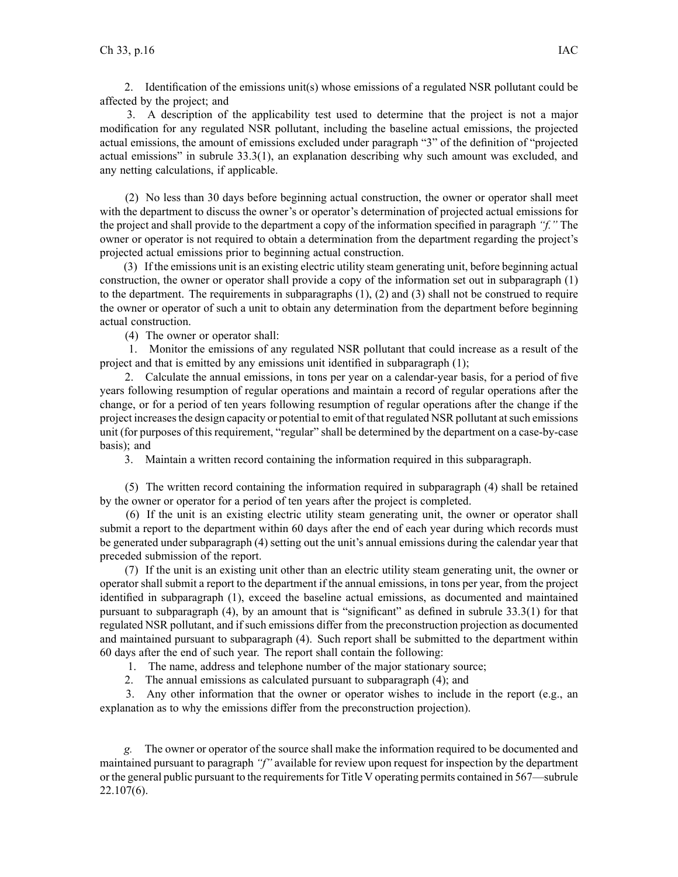2. Identification of the emissions unit(s) whose emissions of <sup>a</sup> regulated NSR pollutant could be affected by the project; and

3. A description of the applicability test used to determine that the project is not <sup>a</sup> major modification for any regulated NSR pollutant, including the baseline actual emissions, the projected actual emissions, the amount of emissions excluded under paragraph "3" of the definition of "projected actual emissions" in subrule 33.3(1), an explanation describing why such amount was excluded, and any netting calculations, if applicable.

(2) No less than 30 days before beginning actual construction, the owner or operator shall meet with the department to discuss the owner's or operator's determination of projected actual emissions for the project and shall provide to the department <sup>a</sup> copy of the information specified in paragraph *"f."* The owner or operator is not required to obtain <sup>a</sup> determination from the department regarding the project's projected actual emissions prior to beginning actual construction.

(3) If the emissions unit is an existing electric utility steam generating unit, before beginning actual construction, the owner or operator shall provide <sup>a</sup> copy of the information set out in subparagraph (1) to the department. The requirements in subparagraphs  $(1)$ ,  $(2)$  and  $(3)$  shall not be construed to require the owner or operator of such <sup>a</sup> unit to obtain any determination from the department before beginning actual construction.

(4) The owner or operator shall:

1. Monitor the emissions of any regulated NSR pollutant that could increase as <sup>a</sup> result of the project and that is emitted by any emissions unit identified in subparagraph (1);

2. Calculate the annual emissions, in tons per year on <sup>a</sup> calendar-year basis, for <sup>a</sup> period of five years following resumption of regular operations and maintain <sup>a</sup> record of regular operations after the change, or for <sup>a</sup> period of ten years following resumption of regular operations after the change if the project increasesthe design capacity or potential to emit of that regulated NSR pollutant atsuch emissions unit (for purposes of this requirement, "regular" shall be determined by the department on <sup>a</sup> case-by-case basis); and

3. Maintain <sup>a</sup> written record containing the information required in this subparagraph.

(5) The written record containing the information required in subparagraph (4) shall be retained by the owner or operator for <sup>a</sup> period of ten years after the project is completed.

(6) If the unit is an existing electric utility steam generating unit, the owner or operator shall submit <sup>a</sup> repor<sup>t</sup> to the department within 60 days after the end of each year during which records must be generated under subparagraph (4) setting out the unit's annual emissions during the calendar year that preceded submission of the report.

(7) If the unit is an existing unit other than an electric utility steam generating unit, the owner or operator shall submit <sup>a</sup> repor<sup>t</sup> to the department if the annual emissions, in tons per year, from the project identified in subparagraph (1), exceed the baseline actual emissions, as documented and maintained pursuan<sup>t</sup> to subparagraph (4), by an amount that is "significant" as defined in subrule 33.3(1) for that regulated NSR pollutant, and if such emissions differ from the preconstruction projection as documented and maintained pursuan<sup>t</sup> to subparagraph (4). Such repor<sup>t</sup> shall be submitted to the department within 60 days after the end of such year. The repor<sup>t</sup> shall contain the following:

1. The name, address and telephone number of the major stationary source;

2. The annual emissions as calculated pursuan<sup>t</sup> to subparagraph (4); and

3. Any other information that the owner or operator wishes to include in the repor<sup>t</sup> (e.g., an explanation as to why the emissions differ from the preconstruction projection).

*g.* The owner or operator of the source shall make the information required to be documented and maintained pursuan<sup>t</sup> to paragraph *"f"* available for review upon reques<sup>t</sup> for inspection by the department or the general public pursuant to the requirements for Title V operating permits contained in 567—subrule 22.107(6).